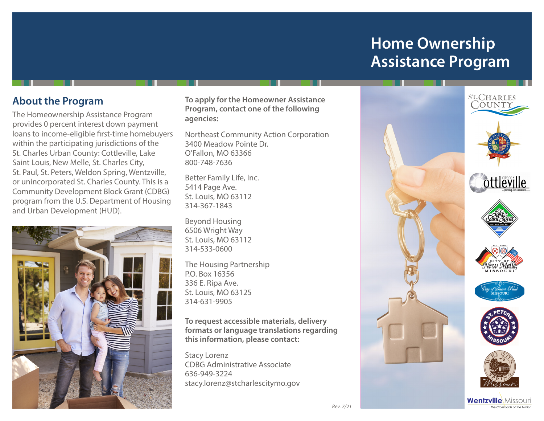# **Home Ownership Assistance Program**

## **About the Program**

The Homeownership Assistance Program provides 0 percent interest down payment loans to income-eligible first-time homebuyers within the participating jurisdictions of the St. Charles Urban County: Cottleville, Lake Saint Louis, New Melle, St. Charles City, St. Paul, St. Peters, Weldon Spring, Wentzville, or unincorporated St. Charles County. This is a Community Development Block Grant (CDBG) program from the U.S. Department of Housing and Urban Development (HUD).



**To apply for the Homeowner Assistance Program, contact one of the following agencies:**

Northeast Community Action Corporation 3400 Meadow Pointe Dr. O'Fallon, MO 63366 800-748-7636

Better Family Life, Inc. 5414 Page Ave. St. Louis, MO 63112 314-367-1843

Beyond Housing 6506 Wright Way St. Louis, MO 63112 314-533-0600

The Housing Partnership P.O. Box 16356 336 E. Ripa Ave. St. Louis, MO 63125 314-631-9905

**To request accessible materials, delivery formats or language translations regarding this information, please contact:**

Stacy Lorenz CDBG Administrative Associate 636-949-3224 stacy.lorenz@stcharlescitymo.gov